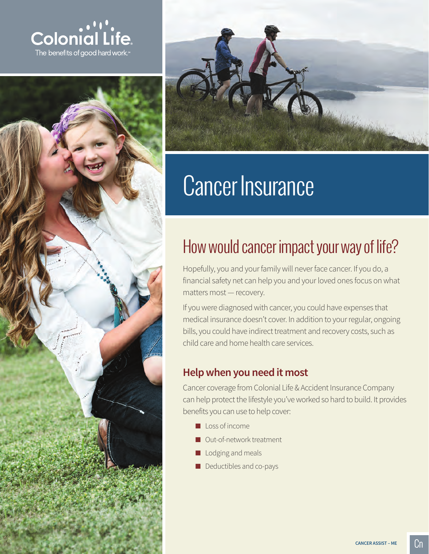





# Cancer Insurance

# How would cancer impact your way of life?

Hopefully, you and your family will never face cancer. If you do, a financial safety net can help you and your loved ones focus on what matters most — recovery.

If you were diagnosed with cancer, you could have expenses that medical insurance doesn't cover. In addition to your regular, ongoing bills, you could have indirect treatment and recovery costs, such as child care and home health care services.

# **Help when you need it most**

Cancer coverage from Colonial Life & Accident Insurance Company can help protect the lifestyle you've worked so hard to build. It provides benefits you can use to help cover:

- Loss of income
- Out-of-network treatment
- Lodging and meals
- Deductibles and co-pays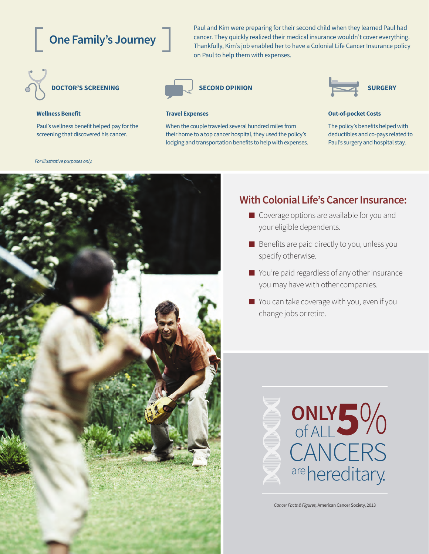# **One Family's Journey**

Paul and Kim were preparing for their second child when they learned Paul had cancer. They quickly realized their medical insurance wouldn't cover everything. Thankfully, Kim's job enabled her to have a Colonial Life Cancer Insurance policy on Paul to help them with expenses.



Paul's wellness benefit helped pay for the screening that discovered his cancer.



When the couple traveled several hundred miles from their home to a top cancer hospital, they used the policy's lodging and transportation benefits to help with expenses.



#### **Wellness Benefit Travel Expenses Out-of-pocket Costs**

The policy's benefits helped with deductibles and co-pays related to Paul's surgery and hospital stay.

*For illustrative purposes only.*



## **With Colonial Life's Cancer Insurance:**

- Coverage options are available for you and your eligible dependents.
- Benefits are paid directly to you, unless you specify otherwise.
- You're paid regardless of any other insurance you may have with other companies.
- You can take coverage with you, even if you change jobs or retire.



*Cancer Facts & Figures,* American Cancer Society, 2013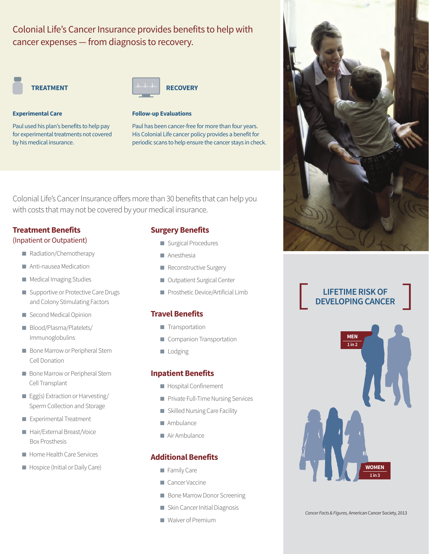# Colonial Life's Cancer Insurance provides benefits to help with cancer expenses — from diagnosis to recovery.



#### **Experimental Care Follow-up Evaluations**

Paul used his plan's benefits to help pay for experimental treatments not covered by his medical insurance.



Paul has been cancer-free for more than four years. His Colonial Life cancer policy provides a benefit for periodic scans to help ensure the cancer stays in check.

Colonial Life's Cancer Insurance offers more than 30 benefits that can help you with costs that may not be covered by your medical insurance.

### **Treatment Benefits**

#### (Inpatient or Outpatient)

- Radiation/Chemotherapy
- Anti-nausea Medication
- Medical Imaging Studies
- Supportive or Protective Care Drugs and Colony Stimulating Factors
- Second Medical Opinion
- Blood/Plasma/Platelets/ Immunoglobulins
- Bone Marrow or Peripheral Stem Cell Donation
- Bone Marrow or Peripheral Stem Cell Transplant
- Egg(s) Extraction or Harvesting/ Sperm Collection and Storage
- Experimental Treatment
- Hair/External Breast/Voice Box Prosthesis
- Home Health Care Services
- Hospice (Initial or Daily Care)

### **Surgery Benefits**

- Surgical Procedures
- Anesthesia
- Reconstructive Surgery
- Outpatient Surgical Center
- Prosthetic Device/Artificial Limb

### **Travel Benefits**

- Transportation
- Companion Transportation
- Lodging

#### **Inpatient Benefits**

- Hospital Confinement
- Private Full-Time Nursing Services
- Skilled Nursing Care Facility
- Ambulance
- Air Ambulance

### **Additional Benefits**

- Family Care
- Cancer Vaccine
- Bone Marrow Donor Screening
- Skin Cancer Initial Diagnosis
- Waiver of Premium



## **LIFETIME RISK OF DEVELOPING CANCER**